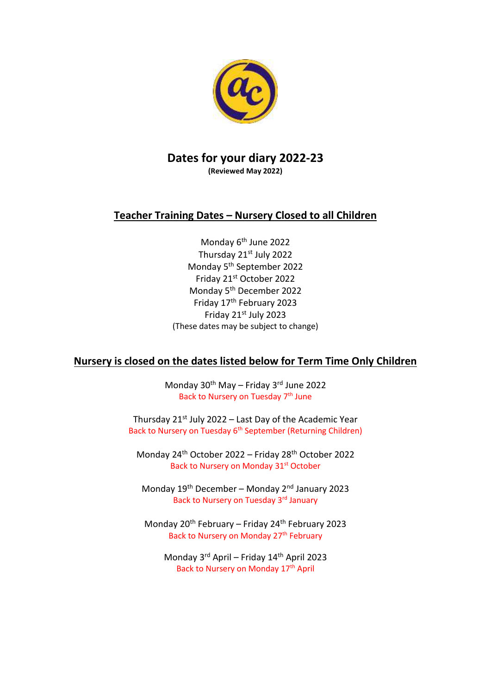

## **Dates for your diary 2022-23 (Reviewed May 2022)**

# **Teacher Training Dates – Nursery Closed to all Children**

Monday 6<sup>th</sup> June 2022 Thursday 21st July 2022 Monday 5th September 2022 Friday 21st October 2022 Monday 5th December 2022 Friday 17th February 2023 Friday 21st July 2023 (These dates may be subject to change)

# **Nursery is closed on the dates listed below for Term Time Only Children**

Monday 30<sup>th</sup> May - Friday 3<sup>rd</sup> June 2022 Back to Nursery on Tuesday 7<sup>th</sup> June

Thursday  $21^{st}$  July 2022 – Last Day of the Academic Year Back to Nursery on Tuesday 6<sup>th</sup> September (Returning Children)

Monday 24<sup>th</sup> October 2022 – Friday 28<sup>th</sup> October 2022 Back to Nursery on Monday 31<sup>st</sup> October

Monday  $19^{th}$  December – Monday  $2^{nd}$  January 2023 Back to Nursery on Tuesday 3rd January

Monday  $20^{th}$  February – Friday  $24^{th}$  February 2023 Back to Nursery on Monday 27<sup>th</sup> February

Monday 3rd April – Friday 14th April 2023 Back to Nursery on Monday 17<sup>th</sup> April